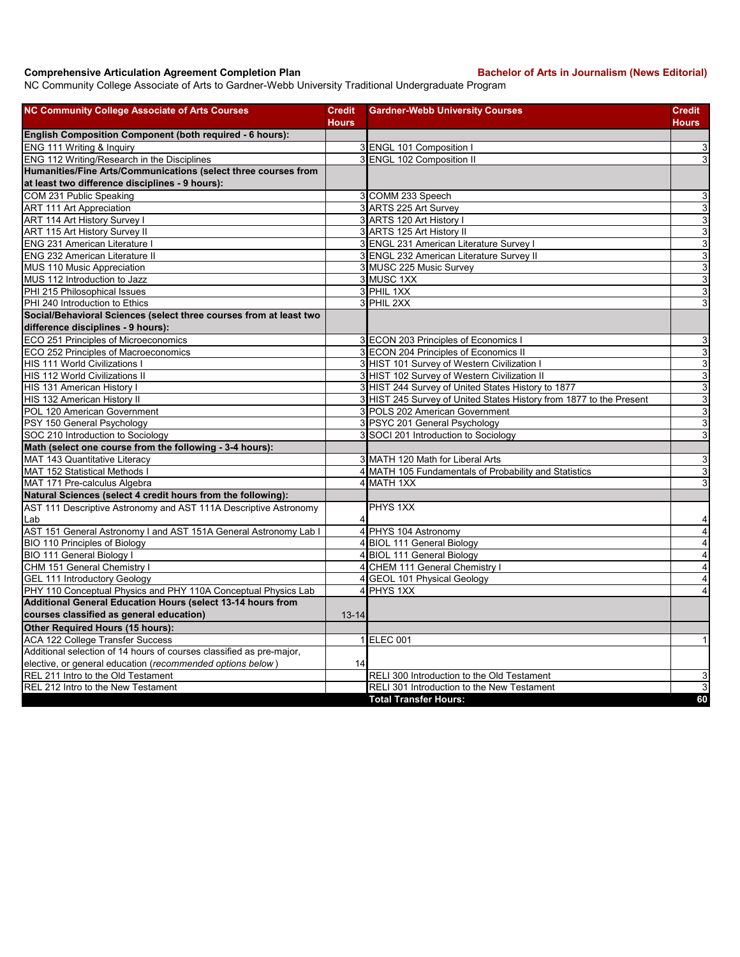## **Comprehensive Articulation Agreement Completion Plan Bachelor of Arts in Journalism (News Editorial)**

NC Community College Associate of Arts to Gardner-Webb University Traditional Undergraduate Program

| <b>Hours</b><br><b>English Composition Component (both required - 6 hours):</b><br>ENG 111 Writing & Inquiry<br>3 ENGL 101 Composition I<br>ENG 112 Writing/Research in the Disciplines<br>3 ENGL 102 Composition II<br>Humanities/Fine Arts/Communications (select three courses from<br>at least two difference disciplines - 9 hours):<br>COM 231 Public Speaking<br>3 COMM 233 Speech<br>3 ARTS 225 Art Survey<br>ART 111 Art Appreciation<br>ART 114 Art History Survey I<br>3 ARTS 120 Art History I<br>ART 115 Art History Survey II<br>3 ARTS 125 Art History II<br>ENG 231 American Literature I<br>3 ENGL 231 American Literature Survey I<br>ENG 232 American Literature II<br>3 ENGL 232 American Literature Survey II<br>3 MUSC 225 Music Survey<br>MUS 110 Music Appreciation<br>3 MUSC 1XX<br>MUS 112 Introduction to Jazz<br>PHI 215 Philosophical Issues<br>3 PHIL 1XX<br>3 PHIL 2XX<br>PHI 240 Introduction to Ethics<br>Social/Behavioral Sciences (select three courses from at least two<br>difference disciplines - 9 hours):<br>ECO 251 Principles of Microeconomics<br>3 ECON 203 Principles of Economics I<br>3 ECON 204 Principles of Economics II<br>ECO 252 Principles of Macroeconomics<br>HIS 111 World Civilizations I<br>3 HIST 101 Survey of Western Civilization I<br><b>HIS 112 World Civilizations II</b><br>3 HIST 102 Survey of Western Civilization II<br>3 HIST 244 Survey of United States History to 1877<br>HIS 131 American History I<br>HIS 132 American History II<br>3 HIST 245 Survey of United States History from 1877 to the Present<br>POL 120 American Government<br>3 POLS 202 American Government<br>3 PSYC 201 General Psychology<br>PSY 150 General Psychology<br>SOC 210 Introduction to Sociology<br>3 SOCI 201 Introduction to Sociology<br>Math (select one course from the following - 3-4 hours):<br>MAT 143 Quantitative Literacy<br>3 MATH 120 Math for Liberal Arts<br>4 MATH 105 Fundamentals of Probability and Statistics<br>MAT 152 Statistical Methods I<br>4 MATH 1XX<br>MAT 171 Pre-calculus Algebra<br>Natural Sciences (select 4 credit hours from the following):<br>AST 111 Descriptive Astronomy and AST 111A Descriptive Astronomy<br>PHYS 1XX<br>Lab<br>4<br>AST 151 General Astronomy I and AST 151A General Astronomy Lab I<br>4 PHYS 104 Astronomy<br><b>BIO 110 Principles of Biology</b><br>4 BIOL 111 General Biology<br>BIO 111 General Biology I<br>4 BIOL 111 General Biology<br>CHM 151 General Chemistry<br>4<br>CHEM 111 General Chemistry I<br>4 GEOL 101 Physical Geology<br><b>GEL 111 Introductory Geology</b><br>4 PHYS 1XX<br>PHY 110 Conceptual Physics and PHY 110A Conceptual Physics Lab<br>Additional General Education Hours (select 13-14 hours from<br>courses classified as general education)<br>$13 - 14$<br>Other Required Hours (15 hours):<br><b>ACA 122 College Transfer Success</b><br>1 ELEC 001 | <b>NC Community College Associate of Arts Courses</b> | <b>Credit</b> | <b>Gardner-Webb University Courses</b> | <b>Credit</b>             |
|---------------------------------------------------------------------------------------------------------------------------------------------------------------------------------------------------------------------------------------------------------------------------------------------------------------------------------------------------------------------------------------------------------------------------------------------------------------------------------------------------------------------------------------------------------------------------------------------------------------------------------------------------------------------------------------------------------------------------------------------------------------------------------------------------------------------------------------------------------------------------------------------------------------------------------------------------------------------------------------------------------------------------------------------------------------------------------------------------------------------------------------------------------------------------------------------------------------------------------------------------------------------------------------------------------------------------------------------------------------------------------------------------------------------------------------------------------------------------------------------------------------------------------------------------------------------------------------------------------------------------------------------------------------------------------------------------------------------------------------------------------------------------------------------------------------------------------------------------------------------------------------------------------------------------------------------------------------------------------------------------------------------------------------------------------------------------------------------------------------------------------------------------------------------------------------------------------------------------------------------------------------------------------------------------------------------------------------------------------------------------------------------------------------------------------------------------------------------------------------------------------------------------------------------------------------------------------------------------------------------------------------------------------------------------------------------------------------------------------------------------------------------------------------------------------------------------------------------------------------------------------------------------------------------|-------------------------------------------------------|---------------|----------------------------------------|---------------------------|
|                                                                                                                                                                                                                                                                                                                                                                                                                                                                                                                                                                                                                                                                                                                                                                                                                                                                                                                                                                                                                                                                                                                                                                                                                                                                                                                                                                                                                                                                                                                                                                                                                                                                                                                                                                                                                                                                                                                                                                                                                                                                                                                                                                                                                                                                                                                                                                                                                                                                                                                                                                                                                                                                                                                                                                                                                                                                                                                     |                                                       |               |                                        | <b>Hours</b>              |
|                                                                                                                                                                                                                                                                                                                                                                                                                                                                                                                                                                                                                                                                                                                                                                                                                                                                                                                                                                                                                                                                                                                                                                                                                                                                                                                                                                                                                                                                                                                                                                                                                                                                                                                                                                                                                                                                                                                                                                                                                                                                                                                                                                                                                                                                                                                                                                                                                                                                                                                                                                                                                                                                                                                                                                                                                                                                                                                     |                                                       |               |                                        |                           |
|                                                                                                                                                                                                                                                                                                                                                                                                                                                                                                                                                                                                                                                                                                                                                                                                                                                                                                                                                                                                                                                                                                                                                                                                                                                                                                                                                                                                                                                                                                                                                                                                                                                                                                                                                                                                                                                                                                                                                                                                                                                                                                                                                                                                                                                                                                                                                                                                                                                                                                                                                                                                                                                                                                                                                                                                                                                                                                                     |                                                       |               |                                        | 3                         |
|                                                                                                                                                                                                                                                                                                                                                                                                                                                                                                                                                                                                                                                                                                                                                                                                                                                                                                                                                                                                                                                                                                                                                                                                                                                                                                                                                                                                                                                                                                                                                                                                                                                                                                                                                                                                                                                                                                                                                                                                                                                                                                                                                                                                                                                                                                                                                                                                                                                                                                                                                                                                                                                                                                                                                                                                                                                                                                                     |                                                       |               |                                        | 3                         |
|                                                                                                                                                                                                                                                                                                                                                                                                                                                                                                                                                                                                                                                                                                                                                                                                                                                                                                                                                                                                                                                                                                                                                                                                                                                                                                                                                                                                                                                                                                                                                                                                                                                                                                                                                                                                                                                                                                                                                                                                                                                                                                                                                                                                                                                                                                                                                                                                                                                                                                                                                                                                                                                                                                                                                                                                                                                                                                                     |                                                       |               |                                        |                           |
|                                                                                                                                                                                                                                                                                                                                                                                                                                                                                                                                                                                                                                                                                                                                                                                                                                                                                                                                                                                                                                                                                                                                                                                                                                                                                                                                                                                                                                                                                                                                                                                                                                                                                                                                                                                                                                                                                                                                                                                                                                                                                                                                                                                                                                                                                                                                                                                                                                                                                                                                                                                                                                                                                                                                                                                                                                                                                                                     |                                                       |               |                                        |                           |
|                                                                                                                                                                                                                                                                                                                                                                                                                                                                                                                                                                                                                                                                                                                                                                                                                                                                                                                                                                                                                                                                                                                                                                                                                                                                                                                                                                                                                                                                                                                                                                                                                                                                                                                                                                                                                                                                                                                                                                                                                                                                                                                                                                                                                                                                                                                                                                                                                                                                                                                                                                                                                                                                                                                                                                                                                                                                                                                     |                                                       |               |                                        | 3                         |
|                                                                                                                                                                                                                                                                                                                                                                                                                                                                                                                                                                                                                                                                                                                                                                                                                                                                                                                                                                                                                                                                                                                                                                                                                                                                                                                                                                                                                                                                                                                                                                                                                                                                                                                                                                                                                                                                                                                                                                                                                                                                                                                                                                                                                                                                                                                                                                                                                                                                                                                                                                                                                                                                                                                                                                                                                                                                                                                     |                                                       |               |                                        | $\mathbf{3}$              |
|                                                                                                                                                                                                                                                                                                                                                                                                                                                                                                                                                                                                                                                                                                                                                                                                                                                                                                                                                                                                                                                                                                                                                                                                                                                                                                                                                                                                                                                                                                                                                                                                                                                                                                                                                                                                                                                                                                                                                                                                                                                                                                                                                                                                                                                                                                                                                                                                                                                                                                                                                                                                                                                                                                                                                                                                                                                                                                                     |                                                       |               |                                        | $\ensuremath{\mathsf{3}}$ |
|                                                                                                                                                                                                                                                                                                                                                                                                                                                                                                                                                                                                                                                                                                                                                                                                                                                                                                                                                                                                                                                                                                                                                                                                                                                                                                                                                                                                                                                                                                                                                                                                                                                                                                                                                                                                                                                                                                                                                                                                                                                                                                                                                                                                                                                                                                                                                                                                                                                                                                                                                                                                                                                                                                                                                                                                                                                                                                                     |                                                       |               |                                        | $\ensuremath{\mathsf{3}}$ |
|                                                                                                                                                                                                                                                                                                                                                                                                                                                                                                                                                                                                                                                                                                                                                                                                                                                                                                                                                                                                                                                                                                                                                                                                                                                                                                                                                                                                                                                                                                                                                                                                                                                                                                                                                                                                                                                                                                                                                                                                                                                                                                                                                                                                                                                                                                                                                                                                                                                                                                                                                                                                                                                                                                                                                                                                                                                                                                                     |                                                       |               |                                        | $\mathsf 3$               |
|                                                                                                                                                                                                                                                                                                                                                                                                                                                                                                                                                                                                                                                                                                                                                                                                                                                                                                                                                                                                                                                                                                                                                                                                                                                                                                                                                                                                                                                                                                                                                                                                                                                                                                                                                                                                                                                                                                                                                                                                                                                                                                                                                                                                                                                                                                                                                                                                                                                                                                                                                                                                                                                                                                                                                                                                                                                                                                                     |                                                       |               |                                        | $\overline{3}$            |
|                                                                                                                                                                                                                                                                                                                                                                                                                                                                                                                                                                                                                                                                                                                                                                                                                                                                                                                                                                                                                                                                                                                                                                                                                                                                                                                                                                                                                                                                                                                                                                                                                                                                                                                                                                                                                                                                                                                                                                                                                                                                                                                                                                                                                                                                                                                                                                                                                                                                                                                                                                                                                                                                                                                                                                                                                                                                                                                     |                                                       |               |                                        | 3                         |
|                                                                                                                                                                                                                                                                                                                                                                                                                                                                                                                                                                                                                                                                                                                                                                                                                                                                                                                                                                                                                                                                                                                                                                                                                                                                                                                                                                                                                                                                                                                                                                                                                                                                                                                                                                                                                                                                                                                                                                                                                                                                                                                                                                                                                                                                                                                                                                                                                                                                                                                                                                                                                                                                                                                                                                                                                                                                                                                     |                                                       |               |                                        | $\mathbf{3}$              |
|                                                                                                                                                                                                                                                                                                                                                                                                                                                                                                                                                                                                                                                                                                                                                                                                                                                                                                                                                                                                                                                                                                                                                                                                                                                                                                                                                                                                                                                                                                                                                                                                                                                                                                                                                                                                                                                                                                                                                                                                                                                                                                                                                                                                                                                                                                                                                                                                                                                                                                                                                                                                                                                                                                                                                                                                                                                                                                                     |                                                       |               |                                        | $\mathbf{3}$              |
|                                                                                                                                                                                                                                                                                                                                                                                                                                                                                                                                                                                                                                                                                                                                                                                                                                                                                                                                                                                                                                                                                                                                                                                                                                                                                                                                                                                                                                                                                                                                                                                                                                                                                                                                                                                                                                                                                                                                                                                                                                                                                                                                                                                                                                                                                                                                                                                                                                                                                                                                                                                                                                                                                                                                                                                                                                                                                                                     |                                                       |               |                                        | 3                         |
|                                                                                                                                                                                                                                                                                                                                                                                                                                                                                                                                                                                                                                                                                                                                                                                                                                                                                                                                                                                                                                                                                                                                                                                                                                                                                                                                                                                                                                                                                                                                                                                                                                                                                                                                                                                                                                                                                                                                                                                                                                                                                                                                                                                                                                                                                                                                                                                                                                                                                                                                                                                                                                                                                                                                                                                                                                                                                                                     |                                                       |               |                                        |                           |
|                                                                                                                                                                                                                                                                                                                                                                                                                                                                                                                                                                                                                                                                                                                                                                                                                                                                                                                                                                                                                                                                                                                                                                                                                                                                                                                                                                                                                                                                                                                                                                                                                                                                                                                                                                                                                                                                                                                                                                                                                                                                                                                                                                                                                                                                                                                                                                                                                                                                                                                                                                                                                                                                                                                                                                                                                                                                                                                     |                                                       |               |                                        |                           |
|                                                                                                                                                                                                                                                                                                                                                                                                                                                                                                                                                                                                                                                                                                                                                                                                                                                                                                                                                                                                                                                                                                                                                                                                                                                                                                                                                                                                                                                                                                                                                                                                                                                                                                                                                                                                                                                                                                                                                                                                                                                                                                                                                                                                                                                                                                                                                                                                                                                                                                                                                                                                                                                                                                                                                                                                                                                                                                                     |                                                       |               |                                        | 3                         |
|                                                                                                                                                                                                                                                                                                                                                                                                                                                                                                                                                                                                                                                                                                                                                                                                                                                                                                                                                                                                                                                                                                                                                                                                                                                                                                                                                                                                                                                                                                                                                                                                                                                                                                                                                                                                                                                                                                                                                                                                                                                                                                                                                                                                                                                                                                                                                                                                                                                                                                                                                                                                                                                                                                                                                                                                                                                                                                                     |                                                       |               |                                        | ω                         |
|                                                                                                                                                                                                                                                                                                                                                                                                                                                                                                                                                                                                                                                                                                                                                                                                                                                                                                                                                                                                                                                                                                                                                                                                                                                                                                                                                                                                                                                                                                                                                                                                                                                                                                                                                                                                                                                                                                                                                                                                                                                                                                                                                                                                                                                                                                                                                                                                                                                                                                                                                                                                                                                                                                                                                                                                                                                                                                                     |                                                       |               |                                        | ω                         |
|                                                                                                                                                                                                                                                                                                                                                                                                                                                                                                                                                                                                                                                                                                                                                                                                                                                                                                                                                                                                                                                                                                                                                                                                                                                                                                                                                                                                                                                                                                                                                                                                                                                                                                                                                                                                                                                                                                                                                                                                                                                                                                                                                                                                                                                                                                                                                                                                                                                                                                                                                                                                                                                                                                                                                                                                                                                                                                                     |                                                       |               |                                        | ω                         |
|                                                                                                                                                                                                                                                                                                                                                                                                                                                                                                                                                                                                                                                                                                                                                                                                                                                                                                                                                                                                                                                                                                                                                                                                                                                                                                                                                                                                                                                                                                                                                                                                                                                                                                                                                                                                                                                                                                                                                                                                                                                                                                                                                                                                                                                                                                                                                                                                                                                                                                                                                                                                                                                                                                                                                                                                                                                                                                                     |                                                       |               |                                        | 3                         |
|                                                                                                                                                                                                                                                                                                                                                                                                                                                                                                                                                                                                                                                                                                                                                                                                                                                                                                                                                                                                                                                                                                                                                                                                                                                                                                                                                                                                                                                                                                                                                                                                                                                                                                                                                                                                                                                                                                                                                                                                                                                                                                                                                                                                                                                                                                                                                                                                                                                                                                                                                                                                                                                                                                                                                                                                                                                                                                                     |                                                       |               |                                        | $\ensuremath{\mathsf{3}}$ |
|                                                                                                                                                                                                                                                                                                                                                                                                                                                                                                                                                                                                                                                                                                                                                                                                                                                                                                                                                                                                                                                                                                                                                                                                                                                                                                                                                                                                                                                                                                                                                                                                                                                                                                                                                                                                                                                                                                                                                                                                                                                                                                                                                                                                                                                                                                                                                                                                                                                                                                                                                                                                                                                                                                                                                                                                                                                                                                                     |                                                       |               |                                        | 3                         |
|                                                                                                                                                                                                                                                                                                                                                                                                                                                                                                                                                                                                                                                                                                                                                                                                                                                                                                                                                                                                                                                                                                                                                                                                                                                                                                                                                                                                                                                                                                                                                                                                                                                                                                                                                                                                                                                                                                                                                                                                                                                                                                                                                                                                                                                                                                                                                                                                                                                                                                                                                                                                                                                                                                                                                                                                                                                                                                                     |                                                       |               |                                        | $\ensuremath{\mathsf{3}}$ |
|                                                                                                                                                                                                                                                                                                                                                                                                                                                                                                                                                                                                                                                                                                                                                                                                                                                                                                                                                                                                                                                                                                                                                                                                                                                                                                                                                                                                                                                                                                                                                                                                                                                                                                                                                                                                                                                                                                                                                                                                                                                                                                                                                                                                                                                                                                                                                                                                                                                                                                                                                                                                                                                                                                                                                                                                                                                                                                                     |                                                       |               |                                        | 3                         |
|                                                                                                                                                                                                                                                                                                                                                                                                                                                                                                                                                                                                                                                                                                                                                                                                                                                                                                                                                                                                                                                                                                                                                                                                                                                                                                                                                                                                                                                                                                                                                                                                                                                                                                                                                                                                                                                                                                                                                                                                                                                                                                                                                                                                                                                                                                                                                                                                                                                                                                                                                                                                                                                                                                                                                                                                                                                                                                                     |                                                       |               |                                        |                           |
|                                                                                                                                                                                                                                                                                                                                                                                                                                                                                                                                                                                                                                                                                                                                                                                                                                                                                                                                                                                                                                                                                                                                                                                                                                                                                                                                                                                                                                                                                                                                                                                                                                                                                                                                                                                                                                                                                                                                                                                                                                                                                                                                                                                                                                                                                                                                                                                                                                                                                                                                                                                                                                                                                                                                                                                                                                                                                                                     |                                                       |               |                                        | ω                         |
|                                                                                                                                                                                                                                                                                                                                                                                                                                                                                                                                                                                                                                                                                                                                                                                                                                                                                                                                                                                                                                                                                                                                                                                                                                                                                                                                                                                                                                                                                                                                                                                                                                                                                                                                                                                                                                                                                                                                                                                                                                                                                                                                                                                                                                                                                                                                                                                                                                                                                                                                                                                                                                                                                                                                                                                                                                                                                                                     |                                                       |               |                                        | $\ensuremath{\mathsf{3}}$ |
|                                                                                                                                                                                                                                                                                                                                                                                                                                                                                                                                                                                                                                                                                                                                                                                                                                                                                                                                                                                                                                                                                                                                                                                                                                                                                                                                                                                                                                                                                                                                                                                                                                                                                                                                                                                                                                                                                                                                                                                                                                                                                                                                                                                                                                                                                                                                                                                                                                                                                                                                                                                                                                                                                                                                                                                                                                                                                                                     |                                                       |               |                                        | 3                         |
|                                                                                                                                                                                                                                                                                                                                                                                                                                                                                                                                                                                                                                                                                                                                                                                                                                                                                                                                                                                                                                                                                                                                                                                                                                                                                                                                                                                                                                                                                                                                                                                                                                                                                                                                                                                                                                                                                                                                                                                                                                                                                                                                                                                                                                                                                                                                                                                                                                                                                                                                                                                                                                                                                                                                                                                                                                                                                                                     |                                                       |               |                                        |                           |
|                                                                                                                                                                                                                                                                                                                                                                                                                                                                                                                                                                                                                                                                                                                                                                                                                                                                                                                                                                                                                                                                                                                                                                                                                                                                                                                                                                                                                                                                                                                                                                                                                                                                                                                                                                                                                                                                                                                                                                                                                                                                                                                                                                                                                                                                                                                                                                                                                                                                                                                                                                                                                                                                                                                                                                                                                                                                                                                     |                                                       |               |                                        |                           |
|                                                                                                                                                                                                                                                                                                                                                                                                                                                                                                                                                                                                                                                                                                                                                                                                                                                                                                                                                                                                                                                                                                                                                                                                                                                                                                                                                                                                                                                                                                                                                                                                                                                                                                                                                                                                                                                                                                                                                                                                                                                                                                                                                                                                                                                                                                                                                                                                                                                                                                                                                                                                                                                                                                                                                                                                                                                                                                                     |                                                       |               |                                        | 4                         |
|                                                                                                                                                                                                                                                                                                                                                                                                                                                                                                                                                                                                                                                                                                                                                                                                                                                                                                                                                                                                                                                                                                                                                                                                                                                                                                                                                                                                                                                                                                                                                                                                                                                                                                                                                                                                                                                                                                                                                                                                                                                                                                                                                                                                                                                                                                                                                                                                                                                                                                                                                                                                                                                                                                                                                                                                                                                                                                                     |                                                       |               |                                        | $\overline{4}$            |
|                                                                                                                                                                                                                                                                                                                                                                                                                                                                                                                                                                                                                                                                                                                                                                                                                                                                                                                                                                                                                                                                                                                                                                                                                                                                                                                                                                                                                                                                                                                                                                                                                                                                                                                                                                                                                                                                                                                                                                                                                                                                                                                                                                                                                                                                                                                                                                                                                                                                                                                                                                                                                                                                                                                                                                                                                                                                                                                     |                                                       |               |                                        | $\overline{\mathbf{4}}$   |
|                                                                                                                                                                                                                                                                                                                                                                                                                                                                                                                                                                                                                                                                                                                                                                                                                                                                                                                                                                                                                                                                                                                                                                                                                                                                                                                                                                                                                                                                                                                                                                                                                                                                                                                                                                                                                                                                                                                                                                                                                                                                                                                                                                                                                                                                                                                                                                                                                                                                                                                                                                                                                                                                                                                                                                                                                                                                                                                     |                                                       |               |                                        | $\overline{\mathbf{4}}$   |
|                                                                                                                                                                                                                                                                                                                                                                                                                                                                                                                                                                                                                                                                                                                                                                                                                                                                                                                                                                                                                                                                                                                                                                                                                                                                                                                                                                                                                                                                                                                                                                                                                                                                                                                                                                                                                                                                                                                                                                                                                                                                                                                                                                                                                                                                                                                                                                                                                                                                                                                                                                                                                                                                                                                                                                                                                                                                                                                     |                                                       |               |                                        | 4                         |
|                                                                                                                                                                                                                                                                                                                                                                                                                                                                                                                                                                                                                                                                                                                                                                                                                                                                                                                                                                                                                                                                                                                                                                                                                                                                                                                                                                                                                                                                                                                                                                                                                                                                                                                                                                                                                                                                                                                                                                                                                                                                                                                                                                                                                                                                                                                                                                                                                                                                                                                                                                                                                                                                                                                                                                                                                                                                                                                     |                                                       |               |                                        | $\overline{\mathbf{r}}$   |
|                                                                                                                                                                                                                                                                                                                                                                                                                                                                                                                                                                                                                                                                                                                                                                                                                                                                                                                                                                                                                                                                                                                                                                                                                                                                                                                                                                                                                                                                                                                                                                                                                                                                                                                                                                                                                                                                                                                                                                                                                                                                                                                                                                                                                                                                                                                                                                                                                                                                                                                                                                                                                                                                                                                                                                                                                                                                                                                     |                                                       |               |                                        | $\overline{4}$            |
|                                                                                                                                                                                                                                                                                                                                                                                                                                                                                                                                                                                                                                                                                                                                                                                                                                                                                                                                                                                                                                                                                                                                                                                                                                                                                                                                                                                                                                                                                                                                                                                                                                                                                                                                                                                                                                                                                                                                                                                                                                                                                                                                                                                                                                                                                                                                                                                                                                                                                                                                                                                                                                                                                                                                                                                                                                                                                                                     |                                                       |               |                                        |                           |
|                                                                                                                                                                                                                                                                                                                                                                                                                                                                                                                                                                                                                                                                                                                                                                                                                                                                                                                                                                                                                                                                                                                                                                                                                                                                                                                                                                                                                                                                                                                                                                                                                                                                                                                                                                                                                                                                                                                                                                                                                                                                                                                                                                                                                                                                                                                                                                                                                                                                                                                                                                                                                                                                                                                                                                                                                                                                                                                     |                                                       |               |                                        |                           |
|                                                                                                                                                                                                                                                                                                                                                                                                                                                                                                                                                                                                                                                                                                                                                                                                                                                                                                                                                                                                                                                                                                                                                                                                                                                                                                                                                                                                                                                                                                                                                                                                                                                                                                                                                                                                                                                                                                                                                                                                                                                                                                                                                                                                                                                                                                                                                                                                                                                                                                                                                                                                                                                                                                                                                                                                                                                                                                                     |                                                       |               |                                        |                           |
|                                                                                                                                                                                                                                                                                                                                                                                                                                                                                                                                                                                                                                                                                                                                                                                                                                                                                                                                                                                                                                                                                                                                                                                                                                                                                                                                                                                                                                                                                                                                                                                                                                                                                                                                                                                                                                                                                                                                                                                                                                                                                                                                                                                                                                                                                                                                                                                                                                                                                                                                                                                                                                                                                                                                                                                                                                                                                                                     |                                                       |               |                                        |                           |
|                                                                                                                                                                                                                                                                                                                                                                                                                                                                                                                                                                                                                                                                                                                                                                                                                                                                                                                                                                                                                                                                                                                                                                                                                                                                                                                                                                                                                                                                                                                                                                                                                                                                                                                                                                                                                                                                                                                                                                                                                                                                                                                                                                                                                                                                                                                                                                                                                                                                                                                                                                                                                                                                                                                                                                                                                                                                                                                     |                                                       |               |                                        | $\mathbf{1}$              |
| Additional selection of 14 hours of courses classified as pre-major,                                                                                                                                                                                                                                                                                                                                                                                                                                                                                                                                                                                                                                                                                                                                                                                                                                                                                                                                                                                                                                                                                                                                                                                                                                                                                                                                                                                                                                                                                                                                                                                                                                                                                                                                                                                                                                                                                                                                                                                                                                                                                                                                                                                                                                                                                                                                                                                                                                                                                                                                                                                                                                                                                                                                                                                                                                                |                                                       |               |                                        |                           |
| elective, or general education (recommended options below)<br>14                                                                                                                                                                                                                                                                                                                                                                                                                                                                                                                                                                                                                                                                                                                                                                                                                                                                                                                                                                                                                                                                                                                                                                                                                                                                                                                                                                                                                                                                                                                                                                                                                                                                                                                                                                                                                                                                                                                                                                                                                                                                                                                                                                                                                                                                                                                                                                                                                                                                                                                                                                                                                                                                                                                                                                                                                                                    |                                                       |               |                                        |                           |
| REL 211 Intro to the Old Testament<br>RELI 300 Introduction to the Old Testament                                                                                                                                                                                                                                                                                                                                                                                                                                                                                                                                                                                                                                                                                                                                                                                                                                                                                                                                                                                                                                                                                                                                                                                                                                                                                                                                                                                                                                                                                                                                                                                                                                                                                                                                                                                                                                                                                                                                                                                                                                                                                                                                                                                                                                                                                                                                                                                                                                                                                                                                                                                                                                                                                                                                                                                                                                    |                                                       |               |                                        | 3                         |
| REL 212 Intro to the New Testament<br>RELI 301 Introduction to the New Testament<br><b>Total Transfer Hours:</b>                                                                                                                                                                                                                                                                                                                                                                                                                                                                                                                                                                                                                                                                                                                                                                                                                                                                                                                                                                                                                                                                                                                                                                                                                                                                                                                                                                                                                                                                                                                                                                                                                                                                                                                                                                                                                                                                                                                                                                                                                                                                                                                                                                                                                                                                                                                                                                                                                                                                                                                                                                                                                                                                                                                                                                                                    |                                                       |               |                                        | 3<br>60                   |